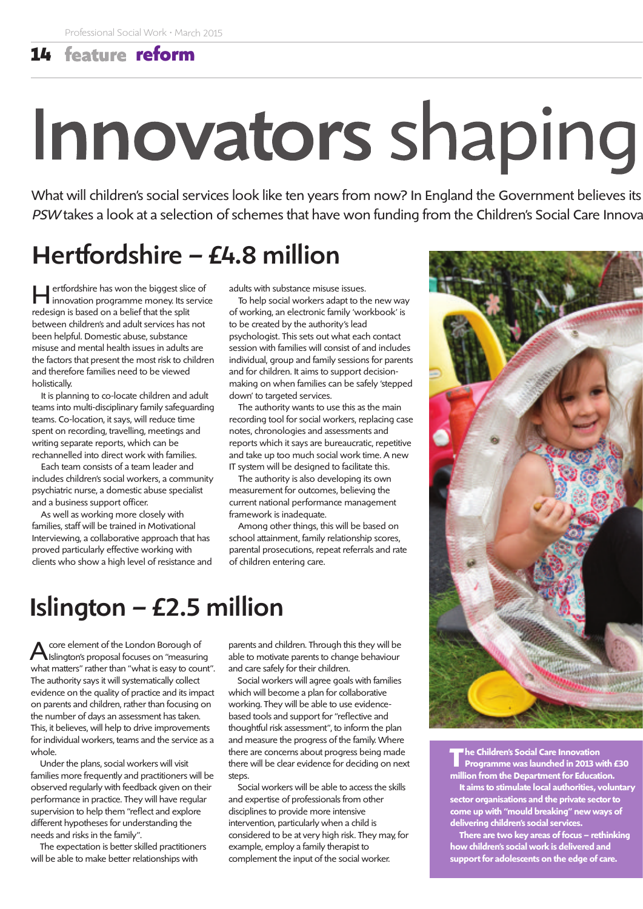#### **14** feature **reform**

## Innovators shaping

What will children's social services look like ten years from now? In England the Government believes its PSW takes a look at a selection of schemes that have won funding from the Children's Social Care Innova

#### Hertfordshire – £4.8 million

**Hertfordshire has won the biggest slice of innovation programme money. Its service** redesign is based on a belief that the split between children's and adult services has not been helpful. Domestic abuse, substance misuse and mental health issues in adults are the factors that present the most risk to children and therefore families need to be viewed holistically.

It is planning to co-locate children and adult teams into multi-disciplinary family safeguarding teams. Co-location, it says, will reduce time spent on recording, travelling, meetings and writing separate reports, which can be rechannelled into direct work with families.

Each team consists of a team leader and includes children's social workers, a community psychiatric nurse, a domestic abuse specialist and a business support officer.

As well as working more closely with families, staff will be trained in Motivational Interviewing, a collaborative approach that has proved particularly effective working with clients who show a high level of resistance and adults with substance misuse issues.

To help social workers adapt to the new way of working, an electronic family 'workbook' is to be created by the authority's lead psychologist. This sets out what each contact session with families will consist of and includes individual, group and family sessions for parents and for children. It aims to support decisionmaking on when families can be safely 'stepped down' to targeted services.

The authority wants to use this as the main recording tool for social workers, replacing case notes, chronologies and assessments and reports which it says are bureaucratic, repetitive and take up too much social work time. A new IT system will be designed to facilitate this.

The authority is also developing its own measurement for outcomes, believing the current national performance management framework is inadequate.

Among other things, this will be based on school attainment, family relationship scores, parental prosecutions, repeat referrals and rate of children entering care.

### Islington  $-$  £2.5 million

Acore element of the London Borough of Islington's proposal focuses on "measuring what matters" rather than "what is easy to count". The authority says it will systematically collect evidence on the quality of practice and its impact on parents and children, rather than focusing on the number of days an assessment has taken. This, it believes, will help to drive improvements for individual workers, teams and the service as a whole.

Under the plans, social workers will visit families more frequently and practitioners will be observed regularly with feedback given on their performance in practice. They will have regular supervision to help them "reflect and explore different hypotheses for understanding the needs and risks in the family".

The expectation is better skilled practitioners will be able to make better relationships with

parents and children. Through this they will be able to motivate parents to change behaviour and care safely for their children.

Social workers will agree goals with families which will become a plan for collaborative working. They will be able to use evidencebased tools and support for "reflective and thoughtful risk assessment", to inform the plan and measure the progress of the family. Where there are concerns about progress being made there will be clear evidence for deciding on next steps.

Social workers will be able to access the skills and expertise of professionals from other disciplines to provide more intensive intervention, particularly when a child is considered to be at very high risk. They may, for example, employ a family therapist to complement the input of the social worker.



**The Children's Social Care Innovation Programme was launched in 2013 with £30 million from the Department for Education. It aims to stimulate local authorities, voluntary sector organisations and the private sector to come up with "mould breaking" new ways of delivering children's social services.**

**There are two key areas of focus – rethinking how children's social work is delivered and support for adolescents on the edge of care.**